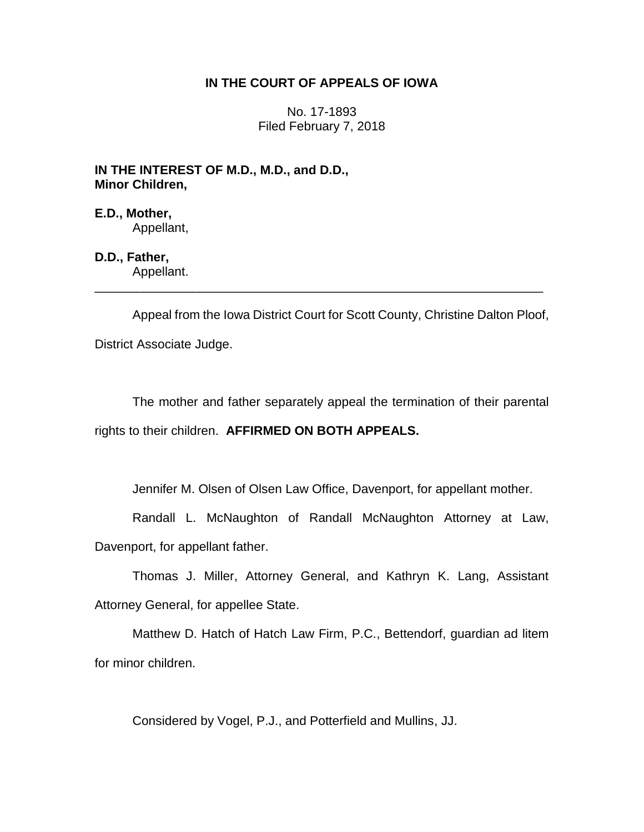## **IN THE COURT OF APPEALS OF IOWA**

No. 17-1893 Filed February 7, 2018

**IN THE INTEREST OF M.D., M.D., and D.D., Minor Children,**

**E.D., Mother,** Appellant,

**D.D., Father,** Appellant.

Appeal from the Iowa District Court for Scott County, Christine Dalton Ploof, District Associate Judge.

\_\_\_\_\_\_\_\_\_\_\_\_\_\_\_\_\_\_\_\_\_\_\_\_\_\_\_\_\_\_\_\_\_\_\_\_\_\_\_\_\_\_\_\_\_\_\_\_\_\_\_\_\_\_\_\_\_\_\_\_\_\_\_\_

The mother and father separately appeal the termination of their parental rights to their children. **AFFIRMED ON BOTH APPEALS.**

Jennifer M. Olsen of Olsen Law Office, Davenport, for appellant mother.

Randall L. McNaughton of Randall McNaughton Attorney at Law, Davenport, for appellant father.

Thomas J. Miller, Attorney General, and Kathryn K. Lang, Assistant Attorney General, for appellee State.

Matthew D. Hatch of Hatch Law Firm, P.C., Bettendorf, guardian ad litem for minor children.

Considered by Vogel, P.J., and Potterfield and Mullins, JJ.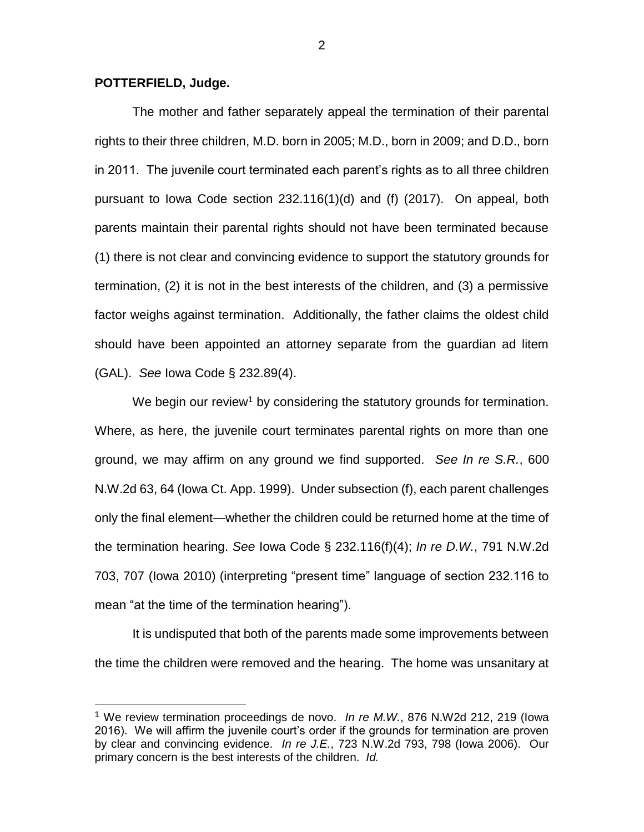## **POTTERFIELD, Judge.**

 $\overline{a}$ 

The mother and father separately appeal the termination of their parental rights to their three children, M.D. born in 2005; M.D., born in 2009; and D.D., born in 2011. The juvenile court terminated each parent's rights as to all three children pursuant to Iowa Code section 232.116(1)(d) and (f) (2017). On appeal, both parents maintain their parental rights should not have been terminated because (1) there is not clear and convincing evidence to support the statutory grounds for termination, (2) it is not in the best interests of the children, and (3) a permissive factor weighs against termination. Additionally, the father claims the oldest child should have been appointed an attorney separate from the guardian ad litem (GAL). *See* Iowa Code § 232.89(4).

We begin our review<sup>1</sup> by considering the statutory grounds for termination. Where, as here, the juvenile court terminates parental rights on more than one ground, we may affirm on any ground we find supported. *See In re S.R.*, 600 N.W.2d 63, 64 (Iowa Ct. App. 1999). Under subsection (f), each parent challenges only the final element—whether the children could be returned home at the time of the termination hearing. *See* Iowa Code § 232.116(f)(4); *In re D.W.*, 791 N.W.2d 703, 707 (Iowa 2010) (interpreting "present time" language of section 232.116 to mean "at the time of the termination hearing").

It is undisputed that both of the parents made some improvements between the time the children were removed and the hearing. The home was unsanitary at

<sup>1</sup> We review termination proceedings de novo. *In re M.W.*, 876 N.W2d 212, 219 (Iowa 2016). We will affirm the juvenile court's order if the grounds for termination are proven by clear and convincing evidence. *In re J.E.*, 723 N.W.2d 793, 798 (Iowa 2006). Our primary concern is the best interests of the children. *Id.*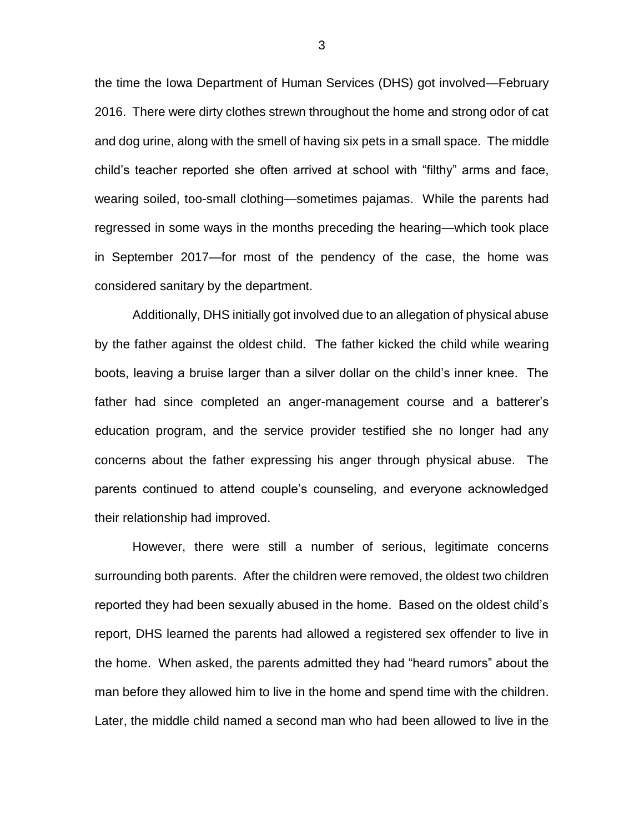the time the Iowa Department of Human Services (DHS) got involved—February 2016. There were dirty clothes strewn throughout the home and strong odor of cat and dog urine, along with the smell of having six pets in a small space. The middle child's teacher reported she often arrived at school with "filthy" arms and face, wearing soiled, too-small clothing—sometimes pajamas. While the parents had regressed in some ways in the months preceding the hearing—which took place in September 2017—for most of the pendency of the case, the home was considered sanitary by the department.

Additionally, DHS initially got involved due to an allegation of physical abuse by the father against the oldest child. The father kicked the child while wearing boots, leaving a bruise larger than a silver dollar on the child's inner knee. The father had since completed an anger-management course and a batterer's education program, and the service provider testified she no longer had any concerns about the father expressing his anger through physical abuse. The parents continued to attend couple's counseling, and everyone acknowledged their relationship had improved.

However, there were still a number of serious, legitimate concerns surrounding both parents. After the children were removed, the oldest two children reported they had been sexually abused in the home. Based on the oldest child's report, DHS learned the parents had allowed a registered sex offender to live in the home. When asked, the parents admitted they had "heard rumors" about the man before they allowed him to live in the home and spend time with the children. Later, the middle child named a second man who had been allowed to live in the

3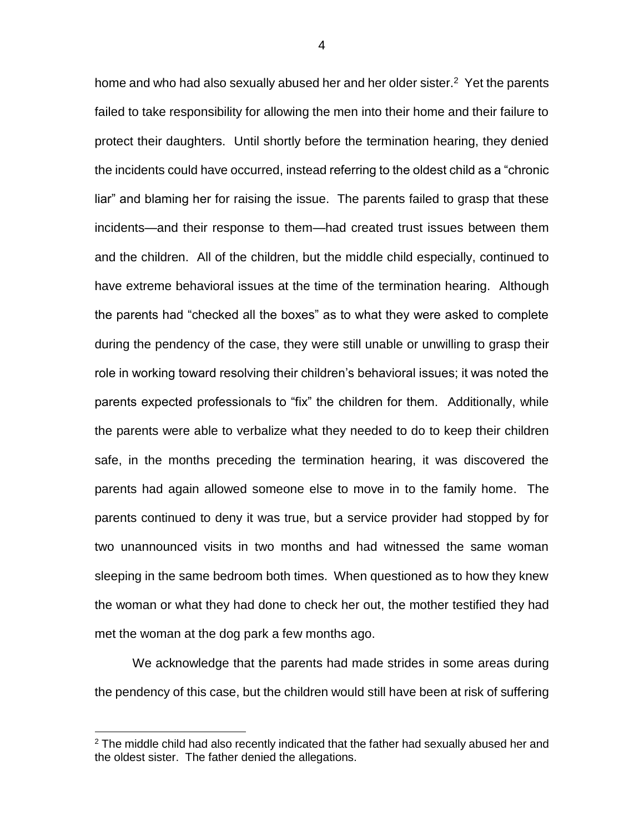home and who had also sexually abused her and her older sister. $2$  Yet the parents failed to take responsibility for allowing the men into their home and their failure to protect their daughters. Until shortly before the termination hearing, they denied the incidents could have occurred, instead referring to the oldest child as a "chronic liar" and blaming her for raising the issue. The parents failed to grasp that these incidents—and their response to them—had created trust issues between them and the children. All of the children, but the middle child especially, continued to have extreme behavioral issues at the time of the termination hearing. Although the parents had "checked all the boxes" as to what they were asked to complete during the pendency of the case, they were still unable or unwilling to grasp their role in working toward resolving their children's behavioral issues; it was noted the parents expected professionals to "fix" the children for them. Additionally, while the parents were able to verbalize what they needed to do to keep their children safe, in the months preceding the termination hearing, it was discovered the parents had again allowed someone else to move in to the family home. The parents continued to deny it was true, but a service provider had stopped by for two unannounced visits in two months and had witnessed the same woman sleeping in the same bedroom both times. When questioned as to how they knew the woman or what they had done to check her out, the mother testified they had met the woman at the dog park a few months ago.

We acknowledge that the parents had made strides in some areas during the pendency of this case, but the children would still have been at risk of suffering

 $\overline{a}$ 

 $2$  The middle child had also recently indicated that the father had sexually abused her and the oldest sister. The father denied the allegations.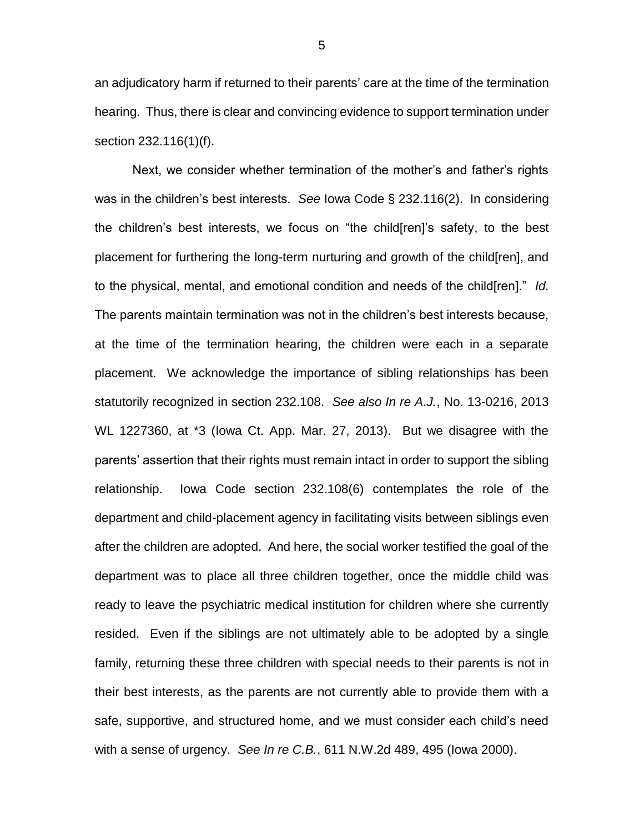an adjudicatory harm if returned to their parents' care at the time of the termination hearing. Thus, there is clear and convincing evidence to support termination under section 232.116(1)(f).

Next, we consider whether termination of the mother's and father's rights was in the children's best interests. *See* Iowa Code § 232.116(2). In considering the children's best interests, we focus on "the child[ren]'s safety, to the best placement for furthering the long-term nurturing and growth of the child[ren], and to the physical, mental, and emotional condition and needs of the child[ren]." *Id.*  The parents maintain termination was not in the children's best interests because, at the time of the termination hearing, the children were each in a separate placement. We acknowledge the importance of sibling relationships has been statutorily recognized in section 232.108. *See also In re A.J.*, No. 13-0216, 2013 WL 1227360, at \*3 (Iowa Ct. App. Mar. 27, 2013). But we disagree with the parents' assertion that their rights must remain intact in order to support the sibling relationship. Iowa Code section 232.108(6) contemplates the role of the department and child-placement agency in facilitating visits between siblings even after the children are adopted. And here, the social worker testified the goal of the department was to place all three children together, once the middle child was ready to leave the psychiatric medical institution for children where she currently resided. Even if the siblings are not ultimately able to be adopted by a single family, returning these three children with special needs to their parents is not in their best interests, as the parents are not currently able to provide them with a safe, supportive, and structured home, and we must consider each child's need with a sense of urgency. *See In re C.B.*, 611 N.W.2d 489, 495 (Iowa 2000).